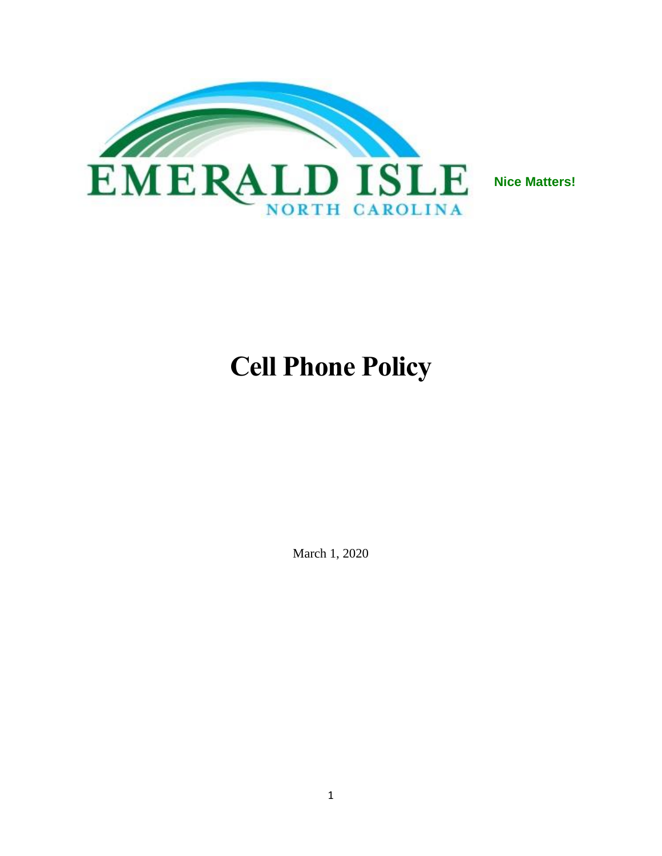

# **Cell Phone Policy**

March 1, 2020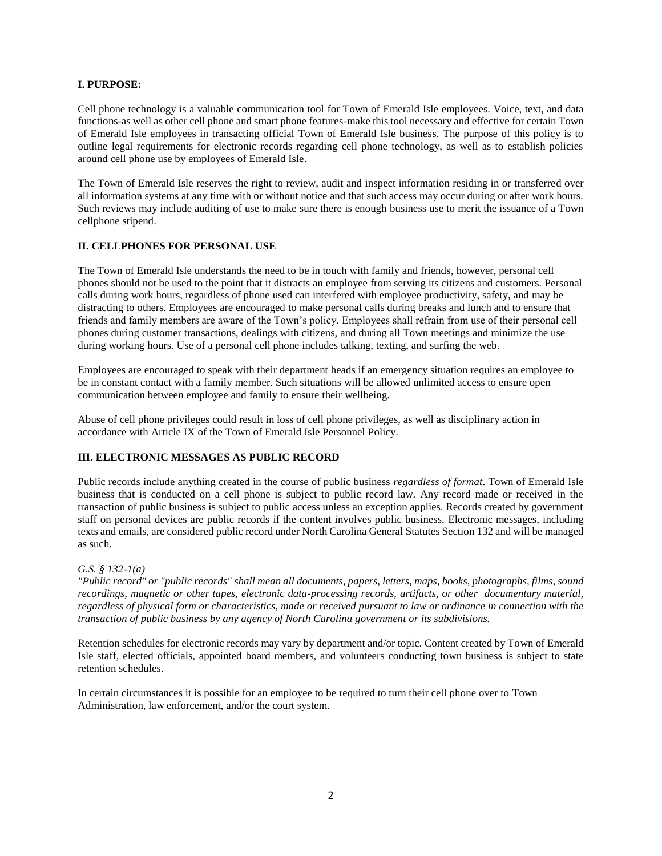#### **I. PURPOSE:**

Cell phone technology is a valuable communication tool for Town of Emerald Isle employees. Voice, text, and data functions-as well as other cell phone and smart phone features-make this tool necessary and effective for certain Town of Emerald Isle employees in transacting official Town of Emerald Isle business. The purpose of this policy is to outline legal requirements for electronic records regarding cell phone technology, as well as to establish policies around cell phone use by employees of Emerald Isle.

The Town of Emerald Isle reserves the right to review, audit and inspect information residing in or transferred over all information systems at any time with or without notice and that such access may occur during or after work hours. Such reviews may include auditing of use to make sure there is enough business use to merit the issuance of a Town cellphone stipend.

#### **II. CELLPHONES FOR PERSONAL USE**

The Town of Emerald Isle understands the need to be in touch with family and friends, however, personal cell phones should not be used to the point that it distracts an employee from serving its citizens and customers. Personal calls during work hours, regardless of phone used can interfered with employee productivity, safety, and may be distracting to others. Employees are encouraged to make personal calls during breaks and lunch and to ensure that friends and family members are aware of the Town's policy. Employees shall refrain from use of their personal cell phones during customer transactions, dealings with citizens, and during all Town meetings and minimize the use during working hours. Use of a personal cell phone includes talking, texting, and surfing the web.

Employees are encouraged to speak with their department heads if an emergency situation requires an employee to be in constant contact with a family member. Such situations will be allowed unlimited access to ensure open communication between employee and family to ensure their wellbeing.

Abuse of cell phone privileges could result in loss of cell phone privileges, as well as disciplinary action in accordance with Article IX of the Town of Emerald Isle Personnel Policy.

### **III. ELECTRONIC MESSAGES AS PUBLIC RECORD**

Public records include anything created in the course of public business *regardless of format*. Town of Emerald Isle business that is conducted on a cell phone is subject to public record law. Any record made or received in the transaction of public business is subject to public access unless an exception applies. Records created by government staff on personal devices are public records if the content involves public business. Electronic messages, including texts and emails, are considered public record under North Carolina General Statutes Section 132 and will be managed as such.

#### *G.S. § 132-1(a)*

*"Public record" or "public records" shall mean all documents, papers, letters, maps, books, photographs, films, sound recordings, magnetic or other tapes, electronic data-processing records, artifacts, or other documentary material, regardless of physical form or characteristics, made or received pursuant to law or ordinance in connection with the transaction of public business by any agency of North Carolina government or its subdivisions.*

Retention schedules for electronic records may vary by department and/or topic. Content created by Town of Emerald Isle staff, elected officials, appointed board members, and volunteers conducting town business is subject to state retention schedules.

In certain circumstances it is possible for an employee to be required to turn their cell phone over to Town Administration, law enforcement, and/or the court system.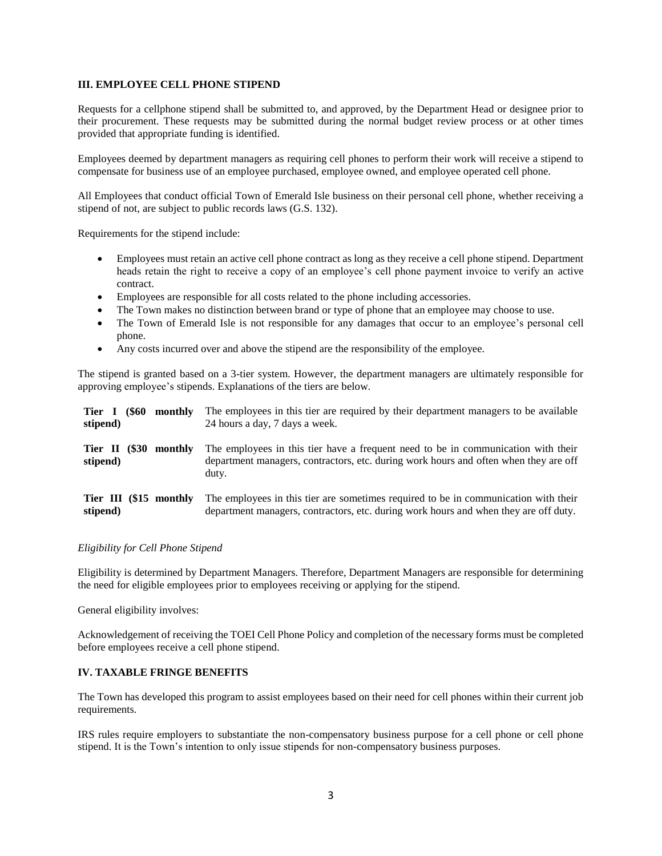#### **III. EMPLOYEE CELL PHONE STIPEND**

Requests for a cellphone stipend shall be submitted to, and approved, by the Department Head or designee prior to their procurement. These requests may be submitted during the normal budget review process or at other times provided that appropriate funding is identified.

Employees deemed by department managers as requiring cell phones to perform their work will receive a stipend to compensate for business use of an employee purchased, employee owned, and employee operated cell phone.

All Employees that conduct official Town of Emerald Isle business on their personal cell phone, whether receiving a stipend of not, are subject to public records laws (G.S. 132).

Requirements for the stipend include:

- Employees must retain an active cell phone contract as long as they receive a cell phone stipend. Department heads retain the right to receive a copy of an employee's cell phone payment invoice to verify an active contract.
- Employees are responsible for all costs related to the phone including accessories.
- The Town makes no distinction between brand or type of phone that an employee may choose to use.
- The Town of Emerald Isle is not responsible for any damages that occur to an employee's personal cell phone.
- Any costs incurred over and above the stipend are the responsibility of the employee.

The stipend is granted based on a 3-tier system. However, the department managers are ultimately responsible for approving employee's stipends. Explanations of the tiers are below.

| Tier I<br>stipend)                 | (S60) | monthly        | The employees in this tier are required by their department managers to be available<br>24 hours a day, 7 days a week.                                                             |
|------------------------------------|-------|----------------|------------------------------------------------------------------------------------------------------------------------------------------------------------------------------------|
| Tier II<br>stipend)                |       | (\$30 monthly) | The employees in this tier have a frequent need to be in communication with their<br>department managers, contractors, etc. during work hours and often when they are off<br>duty. |
| Tier III (\$15 monthly<br>stipend) |       |                | The employees in this tier are sometimes required to be in communication with their<br>department managers, contractors, etc. during work hours and when they are off duty.        |

#### *Eligibility for Cell Phone Stipend*

Eligibility is determined by Department Managers. Therefore, Department Managers are responsible for determining the need for eligible employees prior to employees receiving or applying for the stipend.

General eligibility involves:

Acknowledgement of receiving the TOEI Cell Phone Policy and completion of the necessary forms must be completed before employees receive a cell phone stipend.

#### **IV. TAXABLE FRINGE BENEFITS**

The Town has developed this program to assist employees based on their need for cell phones within their current job requirements.

IRS rules require employers to substantiate the non-compensatory business purpose for a cell phone or cell phone stipend. It is the Town's intention to only issue stipends for non-compensatory business purposes.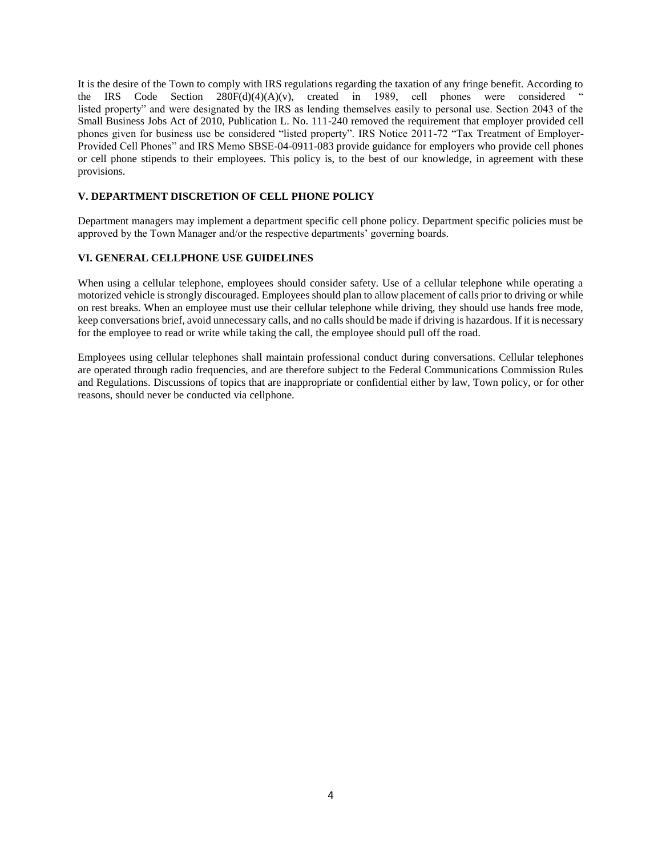It is the desire of the Town to comply with IRS regulations regarding the taxation of any fringe benefit. According to the IRS Code Section  $280F(d)(A)(v)$ , created in 1989, cell phones were considered " listed property" and were designated by the IRS as lending themselves easily to personal use. Section 2043 of the Small Business Jobs Act of 2010, Publication L. No. 111-240 removed the requirement that employer provided cell phones given for business use be considered "listed property". IRS Notice 2011-72 "Tax Treatment of Employer-Provided Cell Phones" and IRS Memo SBSE-04-0911-083 provide guidance for employers who provide cell phones or cell phone stipends to their employees. This policy is, to the best of our knowledge, in agreement with these provisions.

#### **V. DEPARTMENT DISCRETION OF CELL PHONE POLICY**

Department managers may implement a department specific cell phone policy. Department specific policies must be approved by the Town Manager and/or the respective departments' governing boards.

#### **VI. GENERAL CELLPHONE USE GUIDELINES**

When using a cellular telephone, employees should consider safety. Use of a cellular telephone while operating a motorized vehicle is strongly discouraged. Employees should plan to allow placement of calls prior to driving or while on rest breaks. When an employee must use their cellular telephone while driving, they should use hands free mode, keep conversations brief, avoid unnecessary calls, and no calls should be made if driving is hazardous. If it is necessary for the employee to read or write while taking the call, the employee should pull off the road.

Employees using cellular telephones shall maintain professional conduct during conversations. Cellular telephones are operated through radio frequencies, and are therefore subject to the Federal Communications Commission Rules and Regulations. Discussions of topics that are inappropriate or confidential either by law, Town policy, or for other reasons, should never be conducted via cellphone.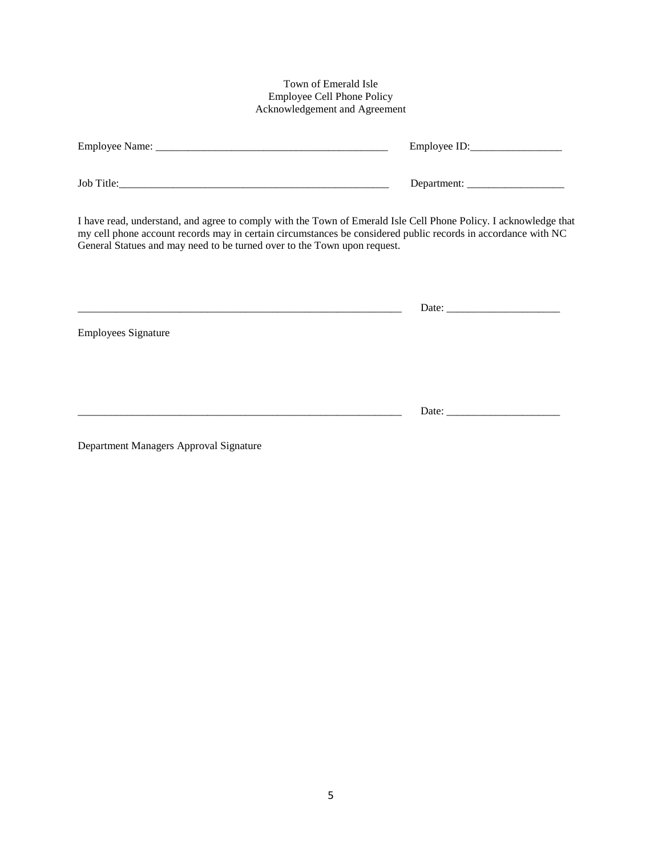### Town of Emerald Isle Employee Cell Phone Policy Acknowledgement and Agreement

| I have read, understand, and agree to comply with the Town of Emerald Isle Cell Phone Policy. I acknowledge that<br>my cell phone account records may in certain circumstances be considered public records in accordance with NC<br>General Statues and may need to be turned over to the Town upon request. |  |  |  |  |
|---------------------------------------------------------------------------------------------------------------------------------------------------------------------------------------------------------------------------------------------------------------------------------------------------------------|--|--|--|--|
| <b>Employees Signature</b>                                                                                                                                                                                                                                                                                    |  |  |  |  |
|                                                                                                                                                                                                                                                                                                               |  |  |  |  |

Department Managers Approval Signature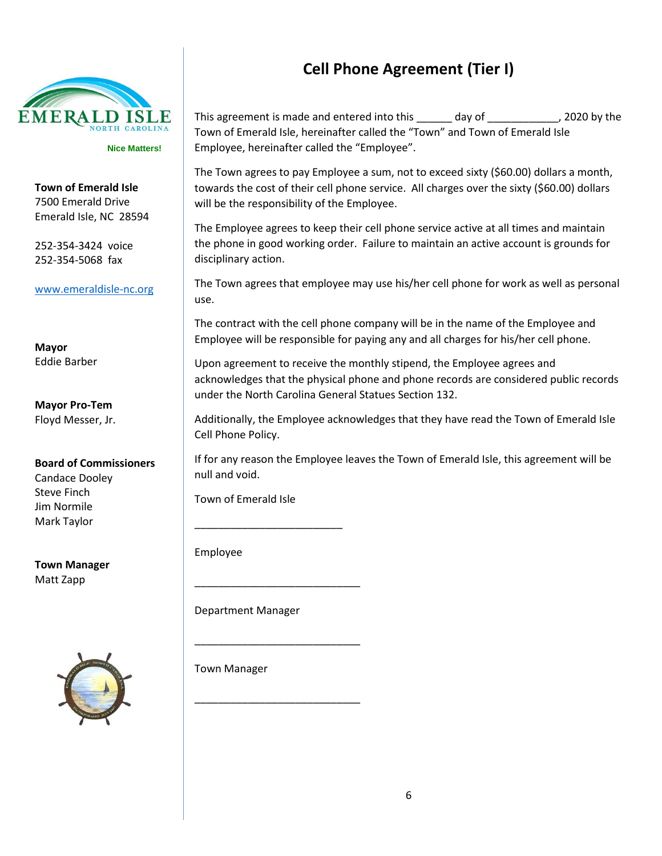

**Town of Emerald Isle** 7500 Emerald Drive Emerald Isle, NC 28594

252-354-3424 voice 252-354-5068 fax

[www.emeraldisle-nc.org](http://www.emeraldisle-nc.org/)

**Mayor** Eddie Barber

**Mayor Pro-Tem** Floyd Messer, Jr.

### **Board of Commissioners** Candace Dooley

Steve Finch Jim Normile Mark Taylor

**Town Manager** Matt Zapp



# **Cell Phone Agreement (Tier I)**

This agreement is made and entered into this \_\_\_\_\_\_ day of \_\_\_\_\_\_\_\_\_\_\_\_, 2020 by the Town of Emerald Isle, hereinafter called the "Town" and Town of Emerald Isle Employee, hereinafter called the "Employee".

The Town agrees to pay Employee a sum, not to exceed sixty (\$60.00) dollars a month, towards the cost of their cell phone service. All charges over the sixty (\$60.00) dollars will be the responsibility of the Employee.

The Employee agrees to keep their cell phone service active at all times and maintain the phone in good working order. Failure to maintain an active account is grounds for disciplinary action.

The Town agrees that employee may use his/her cell phone for work as well as personal use.

The contract with the cell phone company will be in the name of the Employee and Employee will be responsible for paying any and all charges for his/her cell phone.

Upon agreement to receive the monthly stipend, the Employee agrees and acknowledges that the physical phone and phone records are considered public records under the North Carolina General Statues Section 132.

Additionally, the Employee acknowledges that they have read the Town of Emerald Isle Cell Phone Policy.

If for any reason the Employee leaves the Town of Emerald Isle, this agreement will be null and void.

Town of Emerald Isle

\_\_\_\_\_\_\_\_\_\_\_\_\_\_\_\_\_\_\_\_\_\_\_\_\_

\_\_\_\_\_\_\_\_\_\_\_\_\_\_\_\_\_\_\_\_\_\_\_\_\_\_\_\_

\_\_\_\_\_\_\_\_\_\_\_\_\_\_\_\_\_\_\_\_\_\_\_\_\_\_\_\_

\_\_\_\_\_\_\_\_\_\_\_\_\_\_\_\_\_\_\_\_\_\_\_\_\_\_\_\_

Employee

Department Manager

Town Manager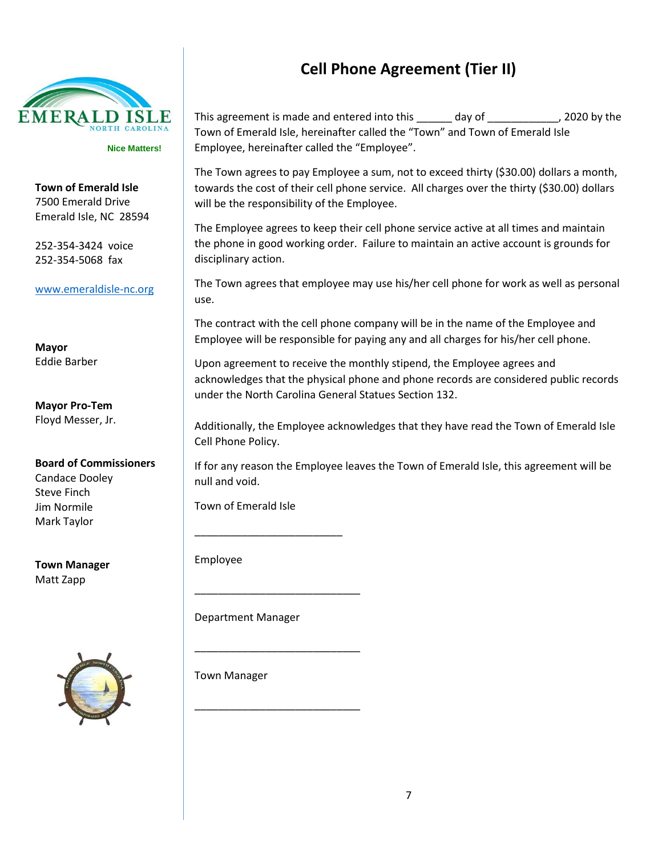

**Town of Emerald Isle** 7500 Emerald Drive Emerald Isle, NC 28594

252-354-3424 voice 252-354-5068 fax

[www.emeraldisle-nc.org](http://www.emeraldisle-nc.org/)

**Mayor** Eddie Barber

**Mayor Pro-Tem** Floyd Messer, Jr.

**Board of Commissioners** Candace Dooley Steve Finch Jim Normile Mark Taylor

**Town Manager** Matt Zapp



# **Cell Phone Agreement (Tier II)**

This agreement is made and entered into this \_\_\_\_\_\_ day of \_\_\_\_\_\_\_\_\_\_\_\_, 2020 by the Town of Emerald Isle, hereinafter called the "Town" and Town of Emerald Isle Employee, hereinafter called the "Employee".

The Town agrees to pay Employee a sum, not to exceed thirty (\$30.00) dollars a month, towards the cost of their cell phone service. All charges over the thirty (\$30.00) dollars will be the responsibility of the Employee.

The Employee agrees to keep their cell phone service active at all times and maintain the phone in good working order. Failure to maintain an active account is grounds for disciplinary action.

The Town agrees that employee may use his/her cell phone for work as well as personal use.

The contract with the cell phone company will be in the name of the Employee and Employee will be responsible for paying any and all charges for his/her cell phone.

Upon agreement to receive the monthly stipend, the Employee agrees and acknowledges that the physical phone and phone records are considered public records under the North Carolina General Statues Section 132.

Additionally, the Employee acknowledges that they have read the Town of Emerald Isle Cell Phone Policy.

If for any reason the Employee leaves the Town of Emerald Isle, this agreement will be null and void.

Town of Emerald Isle

\_\_\_\_\_\_\_\_\_\_\_\_\_\_\_\_\_\_\_\_\_\_\_\_\_

\_\_\_\_\_\_\_\_\_\_\_\_\_\_\_\_\_\_\_\_\_\_\_\_\_\_\_\_

\_\_\_\_\_\_\_\_\_\_\_\_\_\_\_\_\_\_\_\_\_\_\_\_\_\_\_\_

\_\_\_\_\_\_\_\_\_\_\_\_\_\_\_\_\_\_\_\_\_\_\_\_\_\_\_\_

Employee

Department Manager

Town Manager